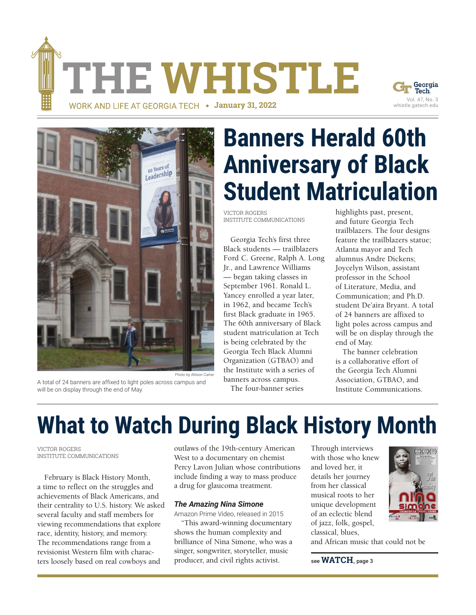THE WHISTLE





A total of 24 banners are affixed to light poles across campus and will be on display through the end of May.

**WORK AND LIFE AT GEORGIA TECH . January 31, 2022** 

# **Banners Herald 60th [Anniversary of Black](https://news.gatech.edu/news/2022/01/24/banners-herald-60th-anniversary-black-student-matriculation)  Student Matriculation**

VICTOR ROGERS INSTITUTE COMMUNICATIONS

Georgia Tech's first three Black students — trailblazers Ford C. Greene, Ralph A. Long Jr., and Lawrence Williams — began taking classes in September 1961. Ronald L. Yancey enrolled a year later, in 1962, and became Tech's first Black graduate in 1965. The 60th anniversary of Black student matriculation at Tech is being celebrated by the Georgia Tech Black Alumni Organization (GTBAO) and the Institute with a series of banners across campus. The four-banner series

highlights past, present, and future Georgia Tech trailblazers. The four designs feature the trailblazers statue; Atlanta mayor and Tech alumnus Andre Dickens; Joycelyn Wilson, assistant professor in the School of Literature, Media, and Communication; and Ph.D. student De'aira Bryant. A total of 24 banners are affixed to light poles across campus and will be on display through the end of May.

The banner celebration is a collaborative effort of the Georgia Tech Alumni Association, GTBAO, and Institute Communications.

## **What to Watch During Black History Month**

VICTOR ROGERS INSTITUTE COMMUNICATIONS

February is Black History Month, a time to reflect on the struggles and achievements of Black Americans, and their centrality to U.S. history. We asked several faculty and staff members for viewing recommendations that explore race, identity, history, and memory. The recommendations range from a revisionist Western film with characters loosely based on real cowboys and

outlaws of the 19th-century American West to a documentary on chemist Percy Lavon Julian whose contributions include finding a way to mass produce a drug for glaucoma treatment.

#### *The Amazing Nina Simone*

Amazon Prime Video, released in 2015

"This award-winning documentary shows the human complexity and brilliance of Nina Simone, who was a singer, songwriter, storyteller, music producer, and civil rights activist.

Through interviews with those who knew and loved her, it details her journey from her classical musical roots to her unique development of an eclectic blend of jazz, folk, gospel, classical, blues,



and African music that could not be

see **WATCH**, page 3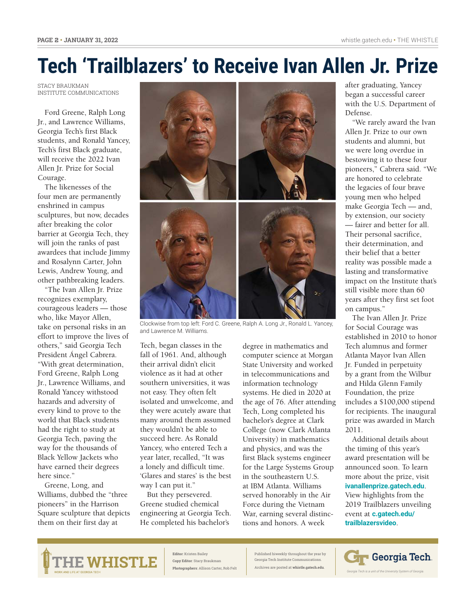### **[Tech 'Trailblazers' to Receive Ivan Allen Jr. Prize](https://news.gatech.edu/news/2022/01/19/tech-trailblazers-receive-ivan-allen-jr-prize)**

STACY BRAUKMAN INSTITUTE COMMUNICATIONS

Ford Greene, Ralph Long Jr., and Lawrence Williams, Georgia Tech's first Black students, and Ronald Yancey, Tech's first Black graduate, will receive the 2022 Ivan Allen Jr. Prize for Social Courage.

The likenesses of the four men are permanently enshrined in campus sculptures, but now, decades after breaking the color barrier at Georgia Tech, they will join the ranks of past awardees that include Jimmy and Rosalynn Carter, John Lewis, Andrew Young, and other pathbreaking leaders.

"The Ivan Allen Jr. Prize recognizes exemplary, courageous leaders — those who, like Mayor Allen, take on personal risks in an effort to improve the lives of others," said Georgia Tech President Ángel Cabrera. "With great determination, Ford Greene, Ralph Long Jr., Lawrence Williams, and Ronald Yancey withstood hazards and adversity of every kind to prove to the world that Black students had the right to study at Georgia Tech, paving the way for the thousands of Black Yellow Jackets who have earned their degrees here since."

Greene, Long, and Williams, dubbed the "three pioneers" in the Harrison Square sculpture that depicts them on their first day at



Clockwise from top left: Ford C. Greene, Ralph A. Long Jr., Ronald L. Yancey, and Lawrence M. Williams.

Tech, began classes in the fall of 1961. And, although their arrival didn't elicit violence as it had at other southern universities, it was not easy. They often felt isolated and unwelcome, and they were acutely aware that many around them assumed they wouldn't be able to succeed here. As Ronald Yancey, who entered Tech a year later, recalled, "It was a lonely and difficult time. 'Glares and stares' is the best way I can put it."

But they persevered. Greene studied chemical engineering at Georgia Tech. He completed his bachelor's

degree in mathematics and computer science at Morgan State University and worked in telecommunications and information technology systems. He died in 2020 at the age of 76. After attending Tech, Long completed his bachelor's degree at Clark College (now Clark Atlanta University) in mathematics and physics, and was the first Black systems engineer for the Large Systems Group in the southeastern U.S. at IBM Atlanta. Williams served honorably in the Air Force during the Vietnam War, earning several distinctions and honors. A week

after graduating, Yancey began a successful career with the U.S. Department of Defense.

"We rarely award the Ivan Allen Jr. Prize to our own students and alumni, but we were long overdue in bestowing it to these four pioneers," Cabrera said. "We are honored to celebrate the legacies of four brave young men who helped make Georgia Tech — and, by extension, our society — fairer and better for all. Their personal sacrifice, their determination, and their belief that a better reality was possible made a lasting and transformative impact on the Institute that's still visible more than 60 years after they first set foot on campus."

The Ivan Allen Jr. Prize for Social Courage was established in 2010 to honor Tech alumnus and former Atlanta Mayor Ivan Allen Jr. Funded in perpetuity by a grant from the Wilbur and Hilda Glenn Family Foundation, the prize includes a \$100,000 stipend for recipients. The inaugural prize was awarded in March 2011.

Additional details about the timing of this year's award presentation will be announced soon. To learn more about the prize, visit **ivanallenprize.gatech.edu**. View highlights from the 2019 Trailblazers unveiling event at **c.gatech.edu/ trailblazersvideo**.



**Editor**: Kristen Bailey **Copy Editor**: Stacy Braukman **Photographers**: Allison Carter, Rob Felt Published biweekly throughout the year by Georgia Tech Institute Communica Archives are posted at **[whistle.gatech.edu](http://news.gatech.edu/whistle)**.

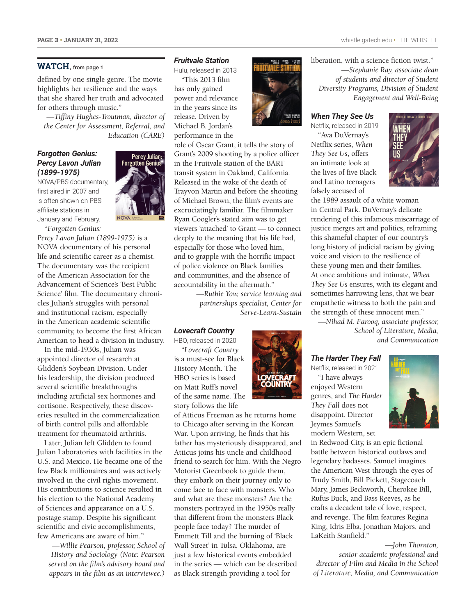#### **WATCH**, from page 1

defined by one single genre. The movie highlights her resilience and the ways that she shared her truth and advocated for others through music."

*—Tiffiny Hughes-Troutman, director of the Center for Assessment, Referral, and Education (CARE)* 

#### *Forgotten Genius: Percy Lavon Julian (1899-1975)*

NOVA/PBS documentary, first aired in 2007 and is often shown on PBS affiliate stations in January and February. "*Forgotten Genius:* 



*Percy Lavon Julian (1899-1975)* is a NOVA documentary of his personal life and scientific career as a chemist. The documentary was the recipient of the American Association for the Advancement of Science's 'Best Public Science' film. The documentary chronicles Julian's struggles with personal and institutional racism, especially in the American academic scientific community, to become the first African American to head a division in industry.

In the mid-1930s, Julian was appointed director of research at Glidden's Soybean Division. Under his leadership, the division produced several scientific breakthroughs including artificial sex hormones and cortisone. Respectively, these discoveries resulted in the commercialization of birth control pills and affordable treatment for rheumatoid arthritis.

Later, Julian left Glidden to found Julian Laboratories with facilities in the U.S. and Mexico. He became one of the few Black millionaires and was actively involved in the civil rights movement. His contributions to science resulted in his election to the National Academy of Sciences and appearance on a U.S. postage stamp. Despite his significant scientific and civic accomplishments, few Americans are aware of him."

*—Willie Pearson, professor, School of History and Sociology (Note: Pearson served on the film's advisory board and appears in the film as an interviewee.)* 

#### *Fruitvale Station*

Hulu, released in 2013

"This 2013 film has only gained power and relevance in the years since its release. Driven by Michael B. Jordan's performance in the



role of Oscar Grant, it tells the story of Grant's 2009 shooting by a police officer in the Fruitvale station of the BART transit system in Oakland, California. Released in the wake of the death of Trayvon Martin and before the shooting of Michael Brown, the film's events are excruciatingly familiar. The filmmaker Ryan Coogler's stated aim was to get viewers 'attached' to Grant — to connect deeply to the meaning that his life had, especially for those who loved him, and to grapple with the horrific impact of police violence on Black families and communities, and the absence of accountability in the aftermath."

> *—Ruthie Yow, service learning and partnerships specialist, Center for Serve-Learn-Sustain*

#### *Lovecraft Country*

HBO, released in 2020 "*Lovecraft Country* is a must-see for Black History Month. The HBO series is based on Matt Ruff's novel of the same name. The story follows the life

of Atticus Freeman as he returns home to Chicago after serving in the Korean War. Upon arriving, he finds that his father has mysteriously disappeared, and Atticus joins his uncle and childhood friend to search for him. With the Negro Motorist Greenbook to guide them, they embark on their journey only to come face to face with monsters. Who and what are these monsters? Are the monsters portrayed in the 1950s really that different from the monsters Black people face today? The murder of Emmett Till and the burning of 'Black Wall Street' in Tulsa, Oklahoma, are just a few historical events embedded in the series — which can be described as Black strength providing a tool for



liberation, with a science fiction twist." *—Stephanie Ray, associate dean* 

*of students and director of Student Diversity Programs, Division of Student Engagement and Well-Being* 

#### *When They See Us*

Netflix, released in 2019 "Ava DuVernay's Netflix series, *When They See Us*, offers an intimate look at the lives of five Black and Latino teenagers falsely accused of



the 1989 assault of a white woman in Central Park. DuVernay's delicate rendering of this infamous miscarriage of justice merges art and politics, reframing this shameful chapter of our country's long history of judicial racism by giving voice and vision to the resilience of these young men and their families. At once ambitious and intimate, *When They See Us* ensures, with its elegant and sometimes harrowing lens, that we bear empathetic witness to both the pain and the strength of these innocent men."

*—Nihad M. Farooq, associate professor, School of Literature, Media, and Communication*

#### *The Harder They Fall*

Netflix, released in 2021 "I have always enjoyed Western genres, and *The Harder They Fall* does not disappoint. Director Jeymes Samuel's modern Western, set



in Redwood City, is an epic fictional battle between historical outlaws and legendary badasses. Samuel imagines the American West through the eyes of Trudy Smith, Bill Pickett, Stagecoach Mary, James Beckworth, Cherokee Bill, Rufus Buck, and Bass Reeves, as he crafts a decadent tale of love, respect, and revenge. The film features Regina King, Idris Elba, Jonathan Majors, and LaKeith Stanfield."

*—John Thornton, senior academic professional and director of Film and Media in the School of Literature, Media, and Communication*